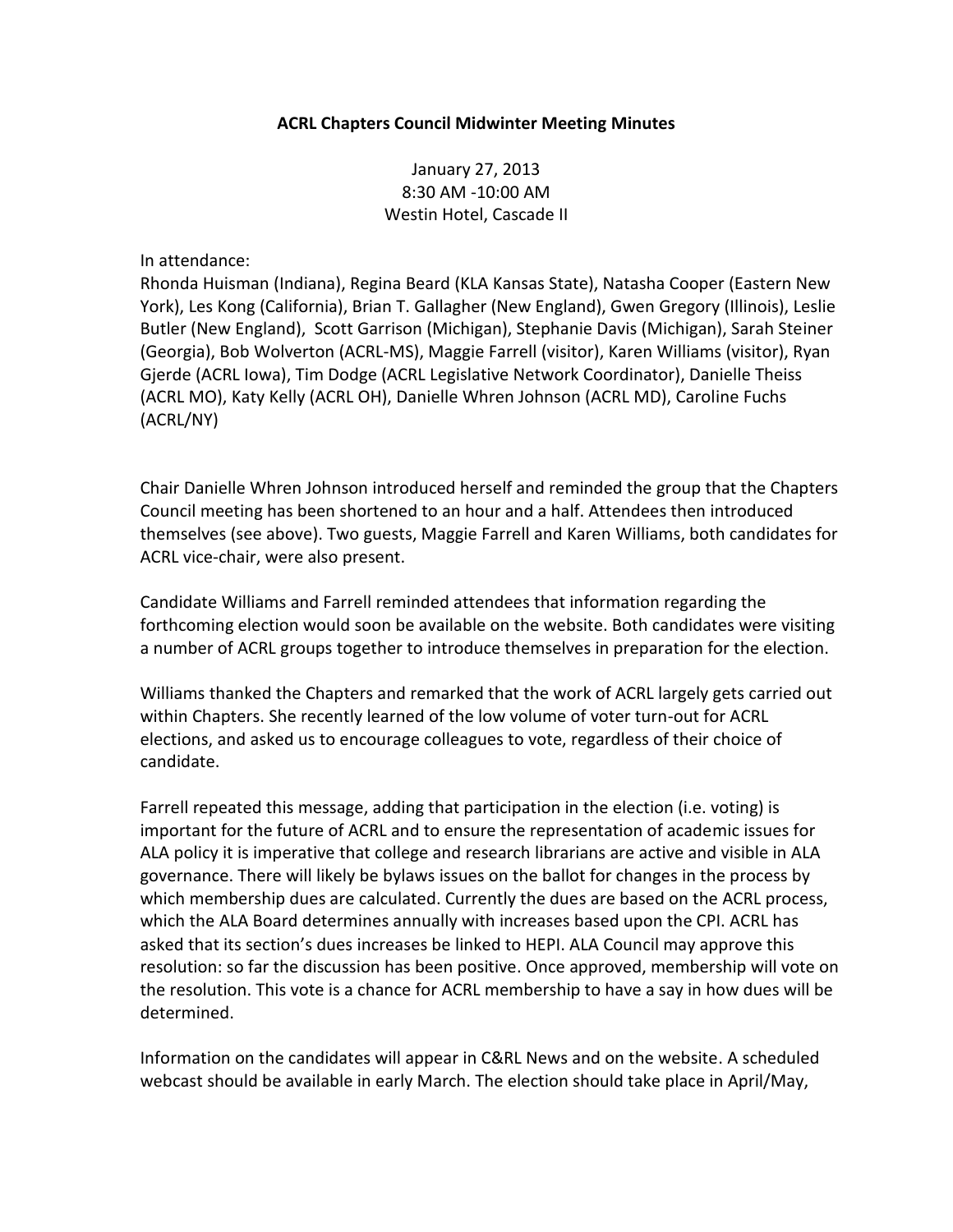## **ACRL Chapters Council Midwinter Meeting Minutes**

January 27, 2013 8:30 AM -10:00 AM Westin Hotel, Cascade II

In attendance:

Rhonda Huisman (Indiana), Regina Beard (KLA Kansas State), Natasha Cooper (Eastern New York), Les Kong (California), Brian T. Gallagher (New England), Gwen Gregory (Illinois), Leslie Butler (New England), Scott Garrison (Michigan), Stephanie Davis (Michigan), Sarah Steiner (Georgia), Bob Wolverton (ACRL-MS), Maggie Farrell (visitor), Karen Williams (visitor), Ryan Gjerde (ACRL Iowa), Tim Dodge (ACRL Legislative Network Coordinator), Danielle Theiss (ACRL MO), Katy Kelly (ACRL OH), Danielle Whren Johnson (ACRL MD), Caroline Fuchs (ACRL/NY)

Chair Danielle Whren Johnson introduced herself and reminded the group that the Chapters Council meeting has been shortened to an hour and a half. Attendees then introduced themselves (see above). Two guests, Maggie Farrell and Karen Williams, both candidates for ACRL vice-chair, were also present.

Candidate Williams and Farrell reminded attendees that information regarding the forthcoming election would soon be available on the website. Both candidates were visiting a number of ACRL groups together to introduce themselves in preparation for the election.

Williams thanked the Chapters and remarked that the work of ACRL largely gets carried out within Chapters. She recently learned of the low volume of voter turn-out for ACRL elections, and asked us to encourage colleagues to vote, regardless of their choice of candidate.

Farrell repeated this message, adding that participation in the election (i.e. voting) is important for the future of ACRL and to ensure the representation of academic issues for ALA policy it is imperative that college and research librarians are active and visible in ALA governance. There will likely be bylaws issues on the ballot for changes in the process by which membership dues are calculated. Currently the dues are based on the ACRL process, which the ALA Board determines annually with increases based upon the CPI. ACRL has asked that its section's dues increases be linked to HEPI. ALA Council may approve this resolution: so far the discussion has been positive. Once approved, membership will vote on the resolution. This vote is a chance for ACRL membership to have a say in how dues will be determined.

Information on the candidates will appear in C&RL News and on the website. A scheduled webcast should be available in early March. The election should take place in April/May,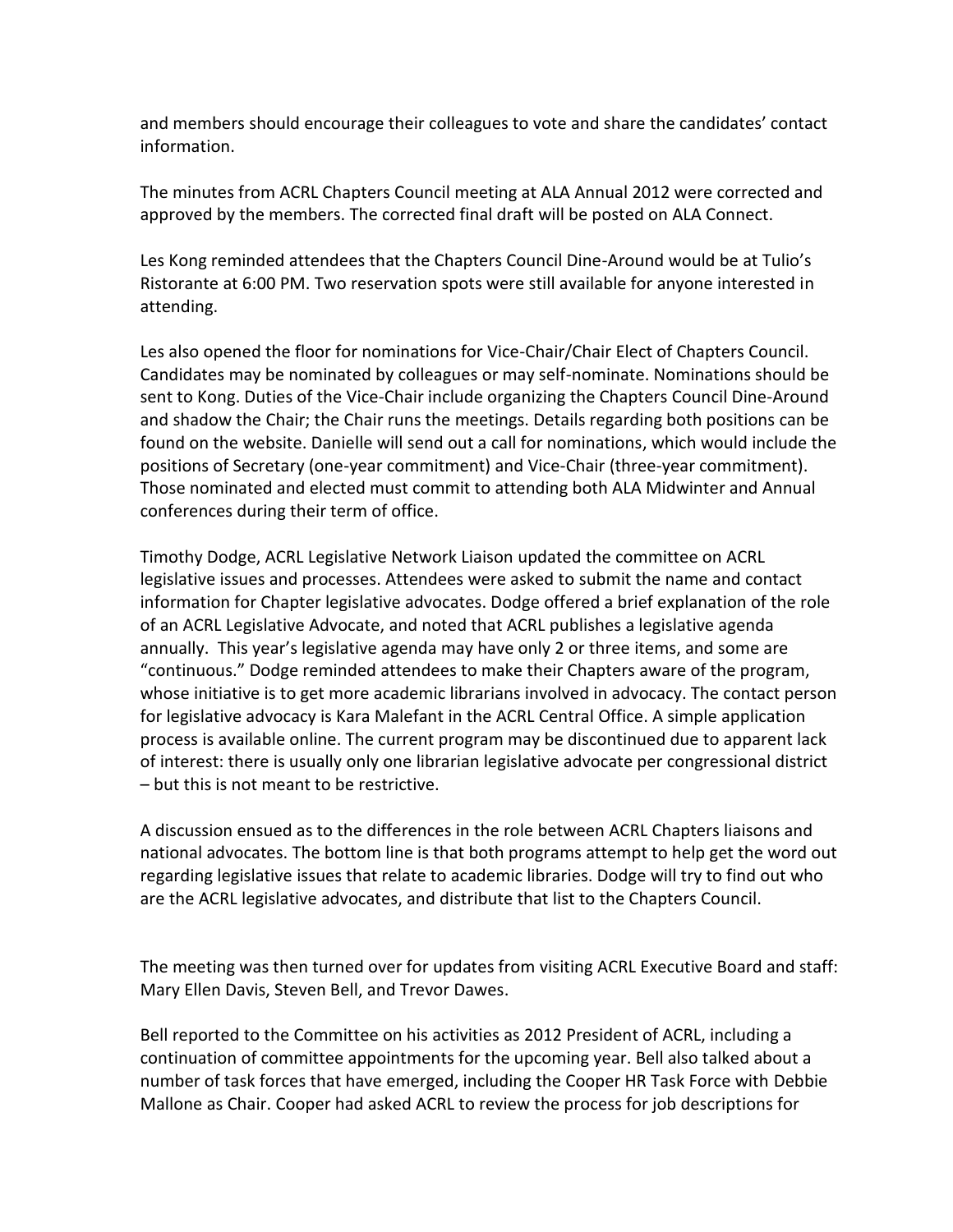and members should encourage their colleagues to vote and share the candidates' contact information.

The minutes from ACRL Chapters Council meeting at ALA Annual 2012 were corrected and approved by the members. The corrected final draft will be posted on ALA Connect.

Les Kong reminded attendees that the Chapters Council Dine-Around would be at Tulio's Ristorante at 6:00 PM. Two reservation spots were still available for anyone interested in attending.

Les also opened the floor for nominations for Vice-Chair/Chair Elect of Chapters Council. Candidates may be nominated by colleagues or may self-nominate. Nominations should be sent to Kong. Duties of the Vice-Chair include organizing the Chapters Council Dine-Around and shadow the Chair; the Chair runs the meetings. Details regarding both positions can be found on the website. Danielle will send out a call for nominations, which would include the positions of Secretary (one-year commitment) and Vice-Chair (three-year commitment). Those nominated and elected must commit to attending both ALA Midwinter and Annual conferences during their term of office.

Timothy Dodge, ACRL Legislative Network Liaison updated the committee on ACRL legislative issues and processes. Attendees were asked to submit the name and contact information for Chapter legislative advocates. Dodge offered a brief explanation of the role of an ACRL Legislative Advocate, and noted that ACRL publishes a legislative agenda annually. This year's legislative agenda may have only 2 or three items, and some are "continuous." Dodge reminded attendees to make their Chapters aware of the program, whose initiative is to get more academic librarians involved in advocacy. The contact person for legislative advocacy is Kara Malefant in the ACRL Central Office. A simple application process is available online. The current program may be discontinued due to apparent lack of interest: there is usually only one librarian legislative advocate per congressional district – but this is not meant to be restrictive.

A discussion ensued as to the differences in the role between ACRL Chapters liaisons and national advocates. The bottom line is that both programs attempt to help get the word out regarding legislative issues that relate to academic libraries. Dodge will try to find out who are the ACRL legislative advocates, and distribute that list to the Chapters Council.

The meeting was then turned over for updates from visiting ACRL Executive Board and staff: Mary Ellen Davis, Steven Bell, and Trevor Dawes.

Bell reported to the Committee on his activities as 2012 President of ACRL, including a continuation of committee appointments for the upcoming year. Bell also talked about a number of task forces that have emerged, including the Cooper HR Task Force with Debbie Mallone as Chair. Cooper had asked ACRL to review the process for job descriptions for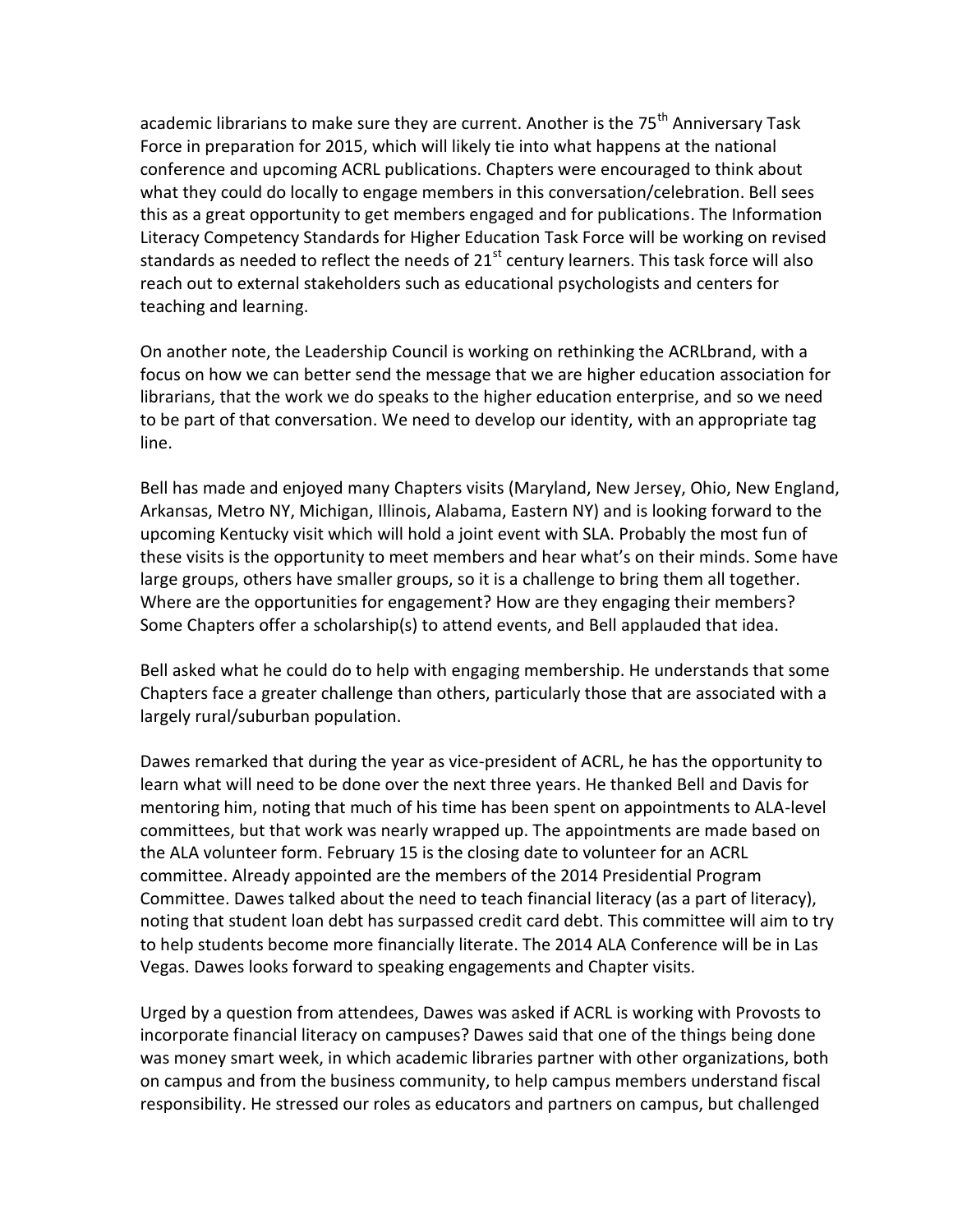academic librarians to make sure they are current. Another is the 75<sup>th</sup> Anniversary Task Force in preparation for 2015, which will likely tie into what happens at the national conference and upcoming ACRL publications. Chapters were encouraged to think about what they could do locally to engage members in this conversation/celebration. Bell sees this as a great opportunity to get members engaged and for publications. The Information Literacy Competency Standards for Higher Education Task Force will be working on revised standards as needed to reflect the needs of  $21<sup>st</sup>$  century learners. This task force will also reach out to external stakeholders such as educational psychologists and centers for teaching and learning.

On another note, the Leadership Council is working on rethinking the ACRLbrand, with a focus on how we can better send the message that we are higher education association for librarians, that the work we do speaks to the higher education enterprise, and so we need to be part of that conversation. We need to develop our identity, with an appropriate tag line.

Bell has made and enjoyed many Chapters visits (Maryland, New Jersey, Ohio, New England, Arkansas, Metro NY, Michigan, Illinois, Alabama, Eastern NY) and is looking forward to the upcoming Kentucky visit which will hold a joint event with SLA. Probably the most fun of these visits is the opportunity to meet members and hear what's on their minds. Some have large groups, others have smaller groups, so it is a challenge to bring them all together. Where are the opportunities for engagement? How are they engaging their members? Some Chapters offer a scholarship(s) to attend events, and Bell applauded that idea.

Bell asked what he could do to help with engaging membership. He understands that some Chapters face a greater challenge than others, particularly those that are associated with a largely rural/suburban population.

Dawes remarked that during the year as vice-president of ACRL, he has the opportunity to learn what will need to be done over the next three years. He thanked Bell and Davis for mentoring him, noting that much of his time has been spent on appointments to ALA-level committees, but that work was nearly wrapped up. The appointments are made based on the ALA volunteer form. February 15 is the closing date to volunteer for an ACRL committee. Already appointed are the members of the 2014 Presidential Program Committee. Dawes talked about the need to teach financial literacy (as a part of literacy), noting that student loan debt has surpassed credit card debt. This committee will aim to try to help students become more financially literate. The 2014 ALA Conference will be in Las Vegas. Dawes looks forward to speaking engagements and Chapter visits.

Urged by a question from attendees, Dawes was asked if ACRL is working with Provosts to incorporate financial literacy on campuses? Dawes said that one of the things being done was money smart week, in which academic libraries partner with other organizations, both on campus and from the business community, to help campus members understand fiscal responsibility. He stressed our roles as educators and partners on campus, but challenged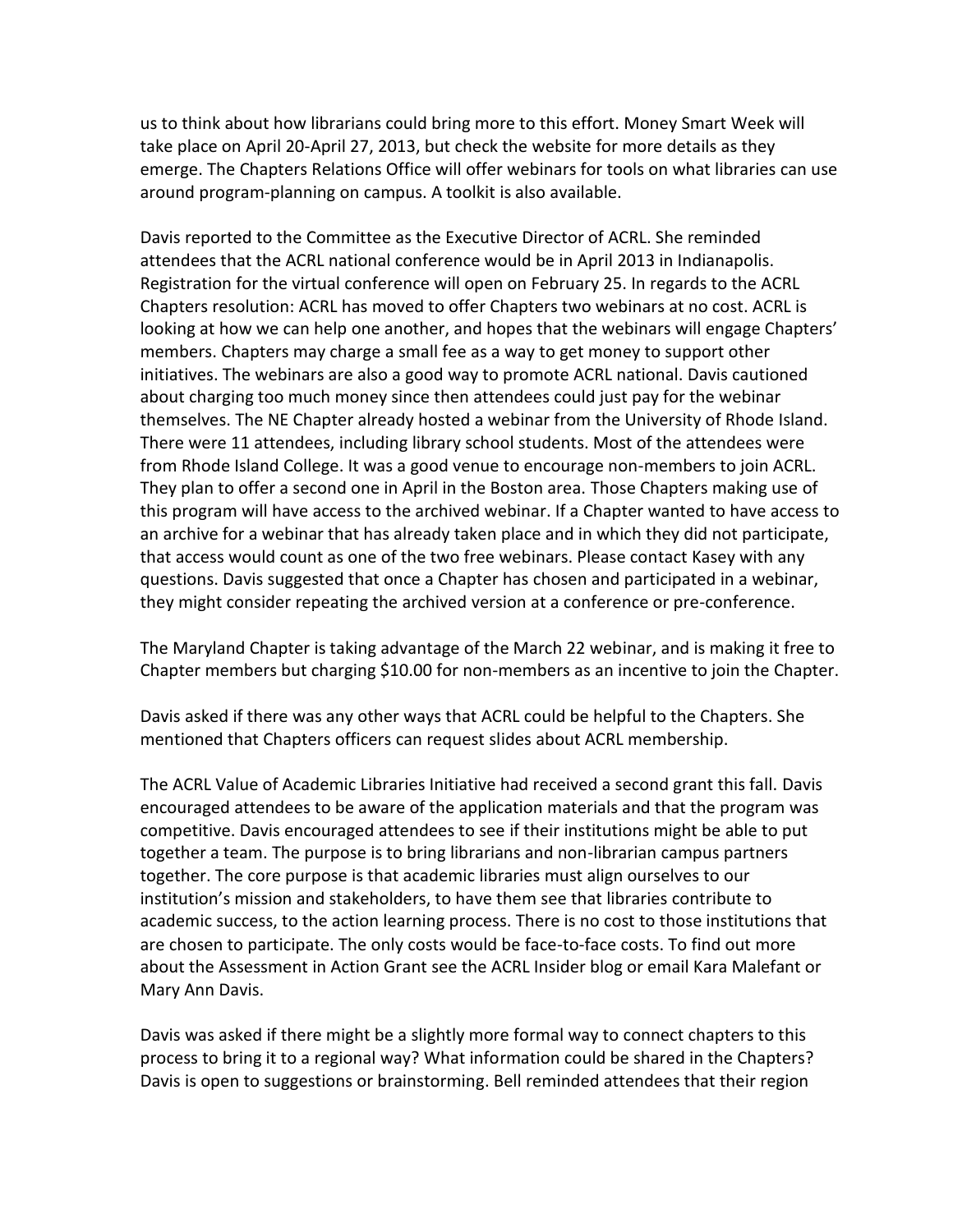us to think about how librarians could bring more to this effort. Money Smart Week will take place on April 20-April 27, 2013, but check the website for more details as they emerge. The Chapters Relations Office will offer webinars for tools on what libraries can use around program-planning on campus. A toolkit is also available.

Davis reported to the Committee as the Executive Director of ACRL. She reminded attendees that the ACRL national conference would be in April 2013 in Indianapolis. Registration for the virtual conference will open on February 25. In regards to the ACRL Chapters resolution: ACRL has moved to offer Chapters two webinars at no cost. ACRL is looking at how we can help one another, and hopes that the webinars will engage Chapters' members. Chapters may charge a small fee as a way to get money to support other initiatives. The webinars are also a good way to promote ACRL national. Davis cautioned about charging too much money since then attendees could just pay for the webinar themselves. The NE Chapter already hosted a webinar from the University of Rhode Island. There were 11 attendees, including library school students. Most of the attendees were from Rhode Island College. It was a good venue to encourage non-members to join ACRL. They plan to offer a second one in April in the Boston area. Those Chapters making use of this program will have access to the archived webinar. If a Chapter wanted to have access to an archive for a webinar that has already taken place and in which they did not participate, that access would count as one of the two free webinars. Please contact Kasey with any questions. Davis suggested that once a Chapter has chosen and participated in a webinar, they might consider repeating the archived version at a conference or pre-conference.

The Maryland Chapter is taking advantage of the March 22 webinar, and is making it free to Chapter members but charging \$10.00 for non-members as an incentive to join the Chapter.

Davis asked if there was any other ways that ACRL could be helpful to the Chapters. She mentioned that Chapters officers can request slides about ACRL membership.

The ACRL Value of Academic Libraries Initiative had received a second grant this fall. Davis encouraged attendees to be aware of the application materials and that the program was competitive. Davis encouraged attendees to see if their institutions might be able to put together a team. The purpose is to bring librarians and non-librarian campus partners together. The core purpose is that academic libraries must align ourselves to our institution's mission and stakeholders, to have them see that libraries contribute to academic success, to the action learning process. There is no cost to those institutions that are chosen to participate. The only costs would be face-to-face costs. To find out more about the Assessment in Action Grant see the ACRL Insider blog or email Kara Malefant or Mary Ann Davis.

Davis was asked if there might be a slightly more formal way to connect chapters to this process to bring it to a regional way? What information could be shared in the Chapters? Davis is open to suggestions or brainstorming. Bell reminded attendees that their region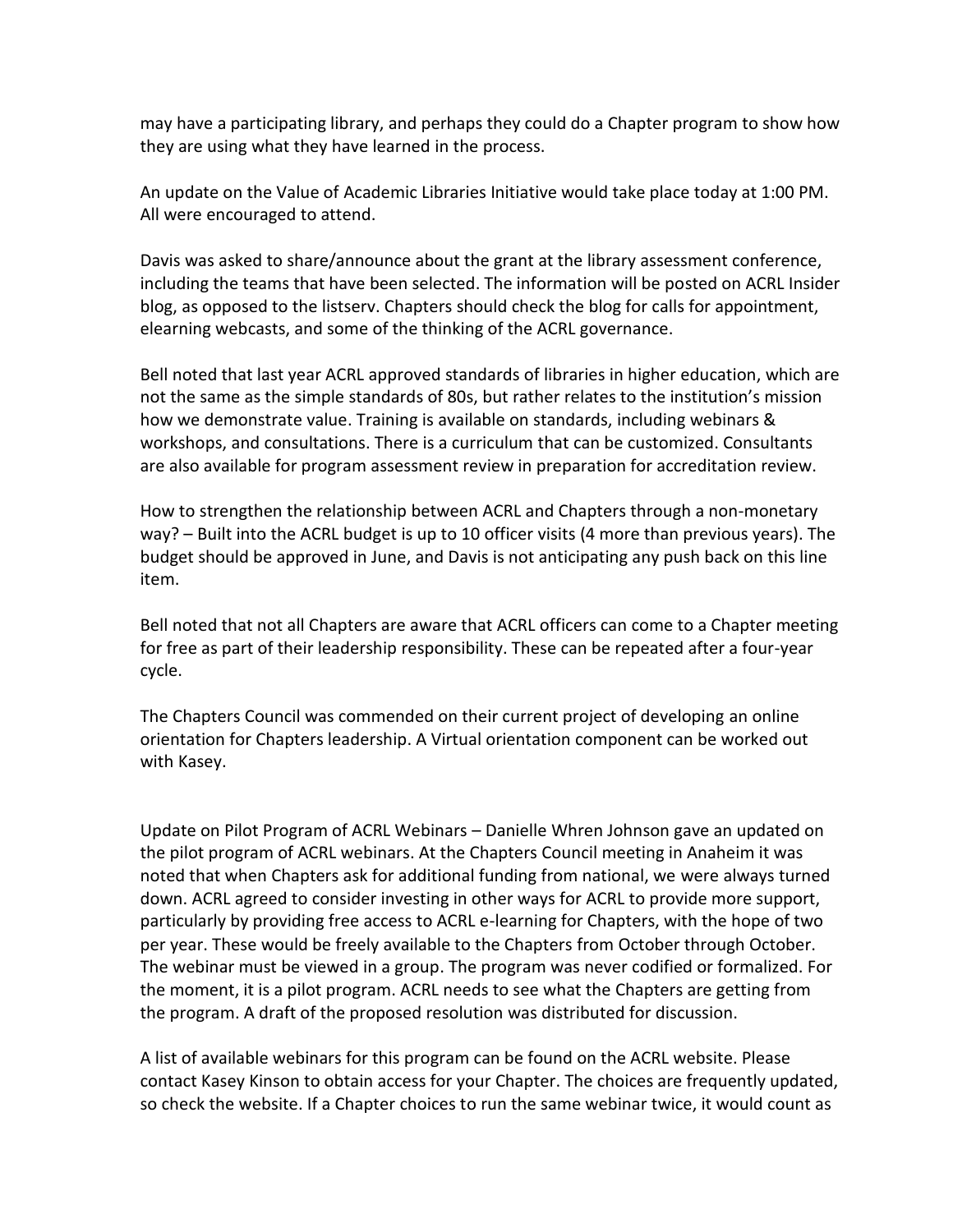may have a participating library, and perhaps they could do a Chapter program to show how they are using what they have learned in the process.

An update on the Value of Academic Libraries Initiative would take place today at 1:00 PM. All were encouraged to attend.

Davis was asked to share/announce about the grant at the library assessment conference, including the teams that have been selected. The information will be posted on ACRL Insider blog, as opposed to the listserv. Chapters should check the blog for calls for appointment, elearning webcasts, and some of the thinking of the ACRL governance.

Bell noted that last year ACRL approved standards of libraries in higher education, which are not the same as the simple standards of 80s, but rather relates to the institution's mission how we demonstrate value. Training is available on standards, including webinars & workshops, and consultations. There is a curriculum that can be customized. Consultants are also available for program assessment review in preparation for accreditation review.

How to strengthen the relationship between ACRL and Chapters through a non-monetary way? – Built into the ACRL budget is up to 10 officer visits (4 more than previous years). The budget should be approved in June, and Davis is not anticipating any push back on this line item.

Bell noted that not all Chapters are aware that ACRL officers can come to a Chapter meeting for free as part of their leadership responsibility. These can be repeated after a four-year cycle.

The Chapters Council was commended on their current project of developing an online orientation for Chapters leadership. A Virtual orientation component can be worked out with Kasey.

Update on Pilot Program of ACRL Webinars – Danielle Whren Johnson gave an updated on the pilot program of ACRL webinars. At the Chapters Council meeting in Anaheim it was noted that when Chapters ask for additional funding from national, we were always turned down. ACRL agreed to consider investing in other ways for ACRL to provide more support, particularly by providing free access to ACRL e-learning for Chapters, with the hope of two per year. These would be freely available to the Chapters from October through October. The webinar must be viewed in a group. The program was never codified or formalized. For the moment, it is a pilot program. ACRL needs to see what the Chapters are getting from the program. A draft of the proposed resolution was distributed for discussion.

A list of available webinars for this program can be found on the ACRL website. Please contact Kasey Kinson to obtain access for your Chapter. The choices are frequently updated, so check the website. If a Chapter choices to run the same webinar twice, it would count as